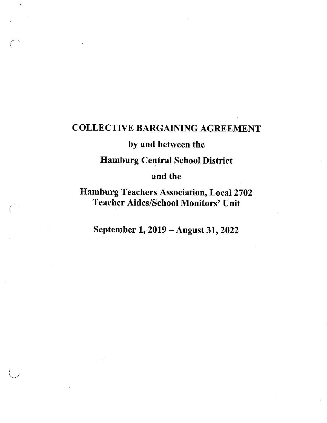# COLLECTIVE BARGAINING AGREEMENT

 $\mathbf{h}$ 

# by and between the

Hamburg Central School District

# and the

Hamburg Teachers Association, Local 2702 Teacher Aides/School Monitors' Unit

September 1, 2019 - August 31, 2022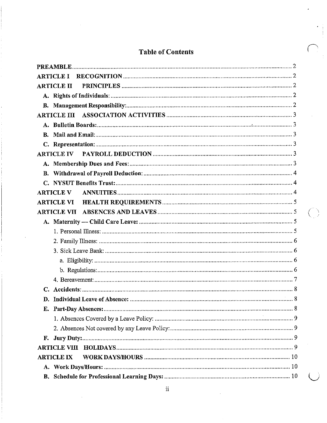| <b>ARTICLE I</b>                |  |
|---------------------------------|--|
| <b>ARTICLE II</b>               |  |
|                                 |  |
|                                 |  |
| <b>ARTICLE III</b>              |  |
|                                 |  |
|                                 |  |
|                                 |  |
| <b>ARTICLE IV</b>               |  |
|                                 |  |
|                                 |  |
|                                 |  |
| <b>ARTICLE V</b>                |  |
| <b>ARTICLE VI</b>               |  |
| <b>ARTICLE VII</b>              |  |
|                                 |  |
|                                 |  |
|                                 |  |
|                                 |  |
|                                 |  |
|                                 |  |
|                                 |  |
|                                 |  |
| D. Individual Leave of Absence: |  |
|                                 |  |
|                                 |  |
|                                 |  |
| F.,                             |  |
|                                 |  |
| <b>ARTICLE IX</b>               |  |
|                                 |  |
|                                 |  |

# **Table of Contents**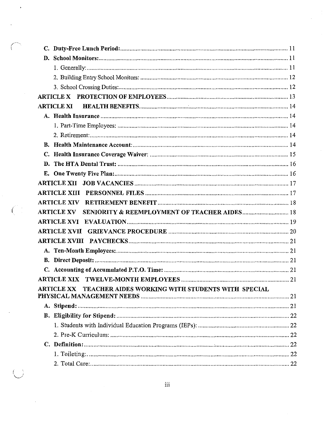| <b>ARTICLE XI</b>                                                            |
|------------------------------------------------------------------------------|
|                                                                              |
|                                                                              |
|                                                                              |
|                                                                              |
|                                                                              |
|                                                                              |
|                                                                              |
|                                                                              |
|                                                                              |
|                                                                              |
| <b>ARTICLE XV</b><br><b>SENIORITY &amp; REEMPLOYMENT OF TEACHER AIDES 18</b> |
|                                                                              |
|                                                                              |
|                                                                              |
|                                                                              |
|                                                                              |
|                                                                              |
|                                                                              |
| TEACHER AIDES WORKING WITH STUDENTS WITH SPECIAL<br><b>ARTICLE XX</b>        |
|                                                                              |
|                                                                              |
|                                                                              |
|                                                                              |
|                                                                              |
|                                                                              |
|                                                                              |
|                                                                              |

 $\ddot{\phantom{0}}$ 

 $\hat{\mathcal{A}}$ 

 $\int_{\Delta_{\rm L}}^{\Delta_{\rm L}} \frac{1}{2} \, .$ 

 $\ddot{\phantom{0}}$ 

 $\bigcirc$ 

 $\left($ 

 $\label{eq:2.1} \frac{1}{\sqrt{2\pi}}\int_{0}^{\infty}\frac{1}{\sqrt{2\pi}}\left(\frac{1}{\sqrt{2\pi}}\right)^{2\alpha}d\theta.$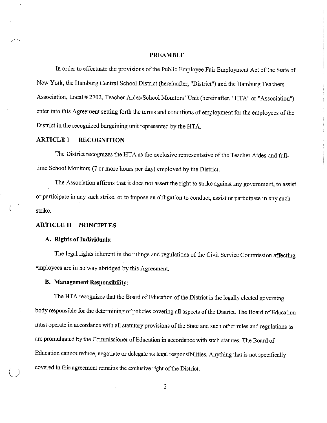#### **PREAMBLE**

In order to effectuate the provisions of the Public Employee Fair Employment Act of the State of New York, the Hamburg Central School District (hereinafter, "District") and the Hamburg Teachers Association, Local # 2702, Teacher Aides/School Monitors' Unit (hereinafter, "HTA" or "Association") enter into this Agreement setting forth the terms and conditions of employment for the employees of the District in the recognized bargaining unit represented by the HTA.

# **ARTICLE I RECOGNITION**

The District recognizes the HTA as the exclusive representative of the Teacher Aides and fulltime School Monitors (7 or more hours per day) employed by the District.

The Association affirms that it does not assert the right to strike against any government, to assist or participate in any such strike, or to impose an obligation to conduct, assist or participate in any such strike.

# **ARTICLE II PRINCIPLES**

## **A. Rights of Individuals:**

The legal rights inherent in the rulings and regulations of the Civil Service Commission affecting employees are in no way abridged by this Agreement.

# **B. Management Responsibility:**

*l)* 

The HTA recognizes that the Board of Education of the District is the legally elected governing body responsible for the determining of policies covering all aspects of the District. The Board of Education must operate in accordance with all statutory provisions of the State and such other rules and regulations as are promulgated by the Commissioner of Education in accordance with such statutes. The Board of Education cannot reduce, negotiate or delegate its legal responsibilities. Anything that is not specifically covered in this agreement remains the exclusive right of the Distiict.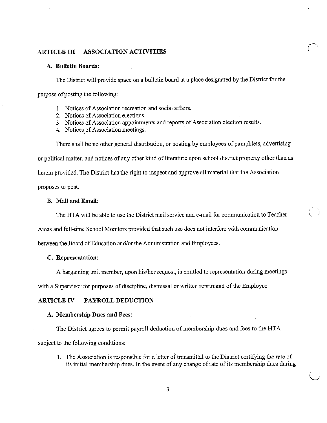# **ARTICLE III ASSOCIATION ACTIVITIES**

# **A. Bulletin Boards:**

The District will provide space on a bulletin board at a place designated by the District for the purpose of posting the following:

- I. Notices of Association recreation and social affairs.
- 2. Notices of Association elections.
- 3. Notices of Association appointments and reports of Association election results.
- 4. Notices of Association meetings.

There shall be no other general distribution, or posting by employees of pamphlets, advertising

or political matter, and notices of any other kind of literature upon school district property other than as

herein provided. The District has the right to inspect and approve all material that the Association

proposes to post.

## **B. Mail and Email:**

The HTA will be able to use the District mail service and e-mail for communication to Teacher

 $\left(\begin{array}{c}\right)$ 

 $\bigcup$ 

Aides and full-time School Monitors provided that such use does not interfere with communication

between the Board of Education and/or the Administration and Employees.

## **C. Representation:**

A bargaining unit member, upon his/her request, is entitled to representation during meetings

with a Supervisor for purposes of discipline, dismissal or written reprimand of the Employee.

## **ARTICLE IV PAYROLL DEDUCTION**

#### **A. Membership Dues and Fees:**

The District agrees to permit payroll deduction of membership dues and fees to the HTA subject to the following conditions:

1. The Association is responsible for a letter of transmittal to the District certifying the rate of its initial membership dues. In the event of any change of rate of its membership dues during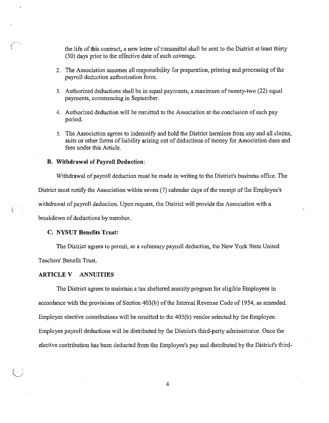the life of this contract, a new letter of transmittal shall be sent to the District at least thirty (30) days prior to the effective date of such coverage.

- 2. The Association assumes all responsibility for preparation, printing and processing of the payroll deduction authorization form.
- 3. Authorized deductions shall be in equal payments, a maximum of twenty-two (22) equal payments, conunencing in September.
- 4. Authorized deduction will be remitted to the Association at the conclusion of each pay period.
- 5. The Association agrees to indemnify and hold the District harmless from any and all claims, suits or other forms of liability arising out of deductions of money for Association dues and fees under this Article.

#### **B. Withdrawal of Payroll Deduction:**

Withdrawal of payroll deduction must be made in writing to the District's business office. The

District must notify the Association within seven (7) calendar days of the receipt of the Employee's

withdrawal of payroll deduction. Upon request, the District will provide the Association with a

breakdown of deductions by member.

## **C. NYSUT Benefits Trust:**

The District agrees to permit, as a voluntary payroll deduction, the New York State United

Teachers' Benefit Trust.

(

#### **ARTICLE V ANNUITIES**

The District agrees to maintain a tax sheltered annuity program for eligible Employees in accordance with the provisions of Section 403(b) of the Internal Revenue Code of 1954, as amended. Employee elective contributions will be remitted to the 403(b) vendor selected by the Employee. Employee payroll deductions will be distributed by the District's third-party administrator. Once the elective contribution has been deducted from the Employee's pay and distributed by the District's third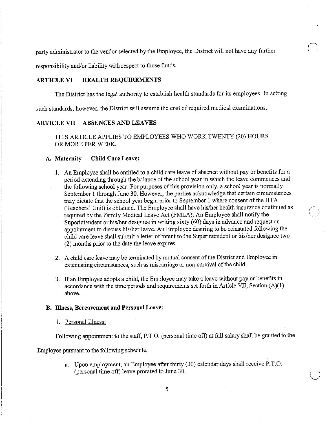party administrator to the vendor selected by the Employee, the District will not have any further

responsibility and/or liability with respect to those funds.

# **ARTICLE VI HEALTH REQUIREMENTS**

The District has the legal authority to establish health standards for its employees. In setting

such standards, however, the District will assume the cost of required medical examinations.

# **ARTICLE VII ABSENCES AND LEAVES**

THIS ARTICLE APPLIES TO EMPLOYEES WHO WORK TWENTY (20) HOURS OR MORE PER WEEK.

## A. Maternity - Child Care Leave:

- I. An Employee shall be entitled to a child care leave of absence without pay or benefits for a period extending through the balance of the school year in which the leave commences and the following school year. For purposes of this provision only, a school year is normally September I through June 30. However, the parties acknowledge that certain circumstances may dictate that the school year begin prior to September 1 where consent of the HTA (Teachers' Unit) is obtained. The Employee shall have his/her health insurance continued as (. required by the Family Medical Leave Act (FMLA). An Employee shall notify the Superintendent or his/her designee in writing sixty (60) days in advance and request an appointment to discuss his/her leave. An Employee desiring to be reinstated following the child care leave shall submit a letter of intent to the Superintendent or his/her designee two (2) months prior to the date the leave expires.
- 2. A child care leave may be tenninated by mutual consent of the District and Employee in extenuating circumstances, such as miscarriage or non-survival of the child.
- 3. If an Employee adopts a child, the Employee may take a leave without pay or benefits in accordance with the time periods and requirements set forth in Article VII, Section  $(A)(1)$ above.

#### **B. Illness, Bereavement and Personal Leave:**

1. Personal Illness:

Following appointment to the staff, P.T.O. (personal time off) at full salary shall be granted to the

Employee pursuant to the following schedule.

a. Upon employment, an Employee after thirty (30) calendar days shall receive P.T.O. (personal time off) leave prorated to June 30.

 $\bigcup$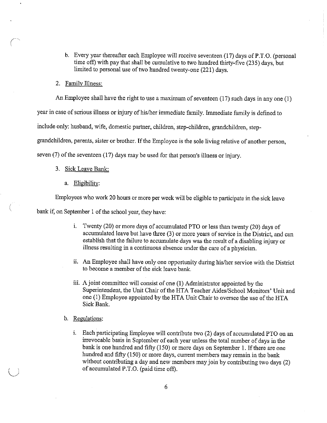- b. Every year thereafter each Employee will receive seventeen (17) days of P.T.O. (personal time off) with pay that shall be cumulative to two hundred thirty-five (235) days, but limited to personal use of two hundred twenty-one (221) days.
- 2. Family Illness:

*(* 

*l)* 

An Employee shall have the right to use a maximum of seventeen  $(17)$  such days in any one  $(1)$ 

year in case of serious illness or injury of his/her immediate family. Immediate family is defined to

include only: husband, wife, domestic partner, children, step-children, grandchildren, step-

grandchildren, parents, sister or brother. If the Employee is the sole living relative of another person,

seven (7) of the seventeen (17) days may be used for that person's illness or injury.

- 3. Sick Leave Bank:
	- a. Eligibility:

Employees who work 20 hours or more per week will be eligible to participate in the sick leave

bank if, on September 1 of the school year, they have:

- i. Twenty (20) or more days of accumulated PTO or less than twenty (20) days of accumulated leave but have three (3) or more years of service in the District, and can establish that the failure to accumulate days was the result of a disabling injury or illness resulting in a continuous absence under the care of a physician.
- ii. An Employee shall have only one opportunity during his/her service with the District to become a member of the sick leave bank.
- iii. A joint committee will consist of one  $(1)$  Administrator appointed by the Superintendent, the Unit Chair of the HTA Teacher Aides/School Monitors' Unit and one (I) Employee appointed by the HTA Unit Chair to oversee the use of the HTA Sick Bank.
- b. Regulations:
	- i. Each participating Employee will contribute two (2) days of accumulated PTO on an irrevocable basis in September of each year unless the total number of days in the bank is one hundred and fifty (150) or more days on September 1. If there are one hundred and fifty (150) or more days, current members may remain in the bank without contributing a day and new members may join by contributing two days (2) of accumulated P.T.O. (paid time off).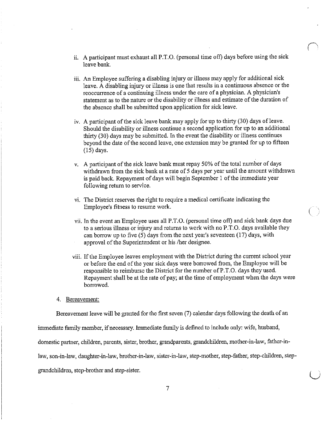ii. A participant must exhaust all P.T.O. (personal time off) days before using the sick leave bank.

 $\bigcap$ 

(

 $\bigcup$ 

- iii. An Employee suffering a disabling injury or illness may apply for additional sick leave. A disabling injury or illness is one that results in a continuous absence or the reoccurrence of a continuing illness under the care of a physician. A physician's statement as to the nature or the disability or illness and estimate of the duration of the absence shall be submitted upon application for sick leave.
- iv. A participant of the sick leave bank may apply for up to thirty (30) days of leave. Should the disability or illness continue a second application for up to an additional thirty (30) days may be submitted. In the event the disability or illness continues beyond the date of the second leave, one extension may be granted for up to fifteen (15) days.
- v. A participant of the sick leave bank must repay 50% of the total number of days withdrawn from the sick bank at a rate of 5 days per year until the amount withdrawn is paid back. Repayment of days will begin September 1 of the immediate year following return to service.
- vi. The District reserves the right to require a medical certificate indicating the Employee's fitness to resume work.
- vii. In the event an Employee uses all P.T.O. (personal time off) and sick bank days due to a serious illness or injury and returns to work with no P.T.O. days available they can borrow up to five  $(5)$  days from the next year's seventeen  $(17)$  days, with approval of the Superintendent or his /her designee.
- viii. If the Employee leaves employment with the District dming the current school year or before the end of the year sick days were borrowed from, the Employee will be responsible to reimburse the Disttict for the number of P.T.O. days they used. Repayment shall be at the rate of pay; at the time of employment when the days were borrowed.

## 4. Bereavement:

Bereavement leave will be granted for the first seven (7) calendar days following the death of an

immediate family member, if necessary. hmnediate family is defined to include only: wife, husband,

domestic partner, children, parents, sister, brother, grandparents, grandchildren, mother-in-law, father-in-

law, son-in-law, daughter-in-law, brother-in-law, sister-in-law, step-mother, step-father, step-children, step-

grandchildren, step-brother and step-sister.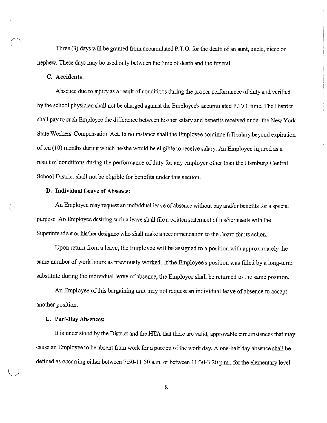Three (3) days will be granted from accumulated P.T.O. for the death of an aunt, uncle, niece or nephew. These days may be used only between the time of death and the funeral.

# **C. Accidents:**

(

 $\bigcup$ 

Absence due to injury as a result of conditions during the proper performance of duty and verified by the school physician shall not be charged against the Employee's accumulated P.T.O. time. The District shall pay to such Employee the difference between his/her salary and benefits received under the New York State Workers' Compensation Act. In no instance shall the Employee continue full salary beyond expiration of ten (10) months during which he/she would be eligible to receive salary. An Employee injured as a result of conditions during the performance of duty for any employer other than the Hamburg Central School District shall not be eligible for benefits under this section.

# **D. Individual Leave of Absence:**

An Employee may request an individual leave of absence without pay and/or benefits for a special purpose. An Employee desiring such a leave shall file a written statement of his/her needs with the Superintendent or his/her designee who shall make a recommendation to the Board for its action.

Upon return from a leave, the Employee will be assigned to a position with approximately the same number of work hours as previously worked. If the Employee's position was filled by a long-term substitute during the individual leave of absence, the Employee shall be returned to the same position.

An Employee of this bargaining unit may not request an individual leave of absence to accept another position.

## **E. Part-Day Absences:**

It is understood by the District and the HTA that there are valid, approvable circumstances that may cause an Employee to be absent from work for a portion of the work day. A one-half day absence shall be defined as occurring either between 7:50-11:30 a.m. or between 11:30-3:20 p.m., for the elementary level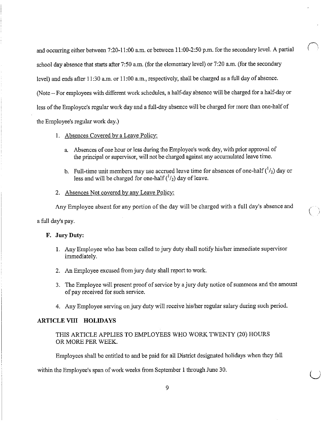and occurring either between 7:20-11 :00 a.m. or between 11 :00-2:50 p.m. for the secondary level. A partial school day absence that starts after 7:50 a.m. (for the elementary level) or 7:20 a.m. (for the secondary level) and ends after 11:30 a.m. or 11:00 a.m., respectively, shall be charged as a full day of absence. (Note - For employees with different work schedules, a half-day absence will be charged for a half-day or less of the Employee's regular work day and a full-day absence will be charged for more than one-half of the Employee's regular work day.)

1. Absences Covered by a Leave Policy:

- a. Absences of one hour or less during the Employee's work day, with prior approval of the principal or supervisor, will not be charged against any accumulated leave time.
- b. Full-time unit members may use accrued leave time for absences of one-half  $({}^{1}/_{2})$  day or less and will be charged for one-half  $({}^{1}/_{2})$  day of leave.
- 2. Absences Not covered by any Leave Policy:

Any Employee absent for any portion of the day will be charged with a full day's absence and

(

 $\cup$ 

a full day's pay.

# **F. JuryDuty:**

- 1. Any Employee who has been called to jury duty shall notify his/her immediate supervisor immediately.
- 2. An Employee excused from jury duty shall report to work.
- 3. The Employee will present proof of service by a jury duty notice of summons and the amount of pay received for such service.
- 4. Any Employee serving on jury duty will receive his/her regular salary during such period.

## **ARTICLE VIII HOLIDAYS**

THIS ARTICLE APPLIES TO EMPLOYEES WHO WORK TWENTY (20) HOURS OR MORE PER WEEK.

Employees shall be entitled to and be paid for all District designated holidays when they fall

within the Employee's span of work weeks from September 1 through June 30.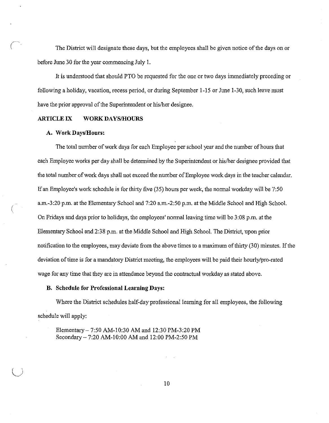The District will designate these days, but the employees shall be given notice of the days on or before June 30 for the year commencing July 1.

It is understood that should PTO be requested for the one or two days immediately preceding or following a holiday, vacation, recess period, or during September 1-15 or June 1-30, such leave must have the prior approval of the Superintendent or his/her designee.

## **ARTICLE IX WORK DAYS/HOURS**

#### **A. WorkDays!Hours:**

 $\left(\right)$ 

The total number of work days for each Employee per school year and the number of hours that each Employee works per day shall be determined by the Superintendent or his/her designee provided that the total number of work days shall not exceed the number of Employee work days in the teacher calendar. If an Employee's work schedule is for thirty five (35) hours per week, the nonnal workday will be 7:50 a.m.-3:20 p.m. at the Elementaiy School and 7:20 a.m.-2:50 p.m. at the Middle School and High School. On Fridays and days prior to holidays, the employees' normal leaving time will be 3:08 p.m. at the Elementary School and 2:38 p.m. at the Middle School and High School. The District, upon prior notification to the employees, may deviate from the above times to a maximum of thirty (30) minutes. If the deviation of time is for a mandatory District meeting, the employees will be paid their hourly/pro-rated wage for my time that they are in attendance beyond the contractual workday as stated above.

#### **B. Schedule for Professional Learning Days:**

Where the District schedules half-day professional learning for all employees, the following schedule will apply:

Elementary- 7:50 AM-10:30 AM and 12:30 PM-3:20 PM Secondary- 7:20 AM-10:00 AM and 12:00 PM-2:50 PM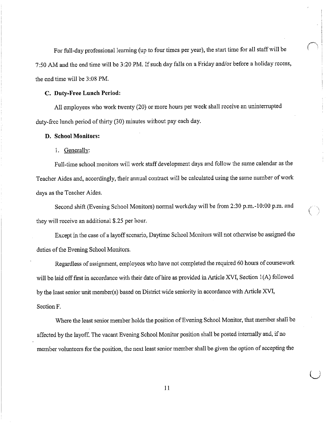For full-day professional learning (up to four times per year), the start time for all staff will be 7:50 AM and the end time will be 3 :20 PM. If such day falls on a Friday and/or before a holiday recess, the end time wiU be 3:08 PM.

#### **C. Duty-Free Lunch Period:**

All employees who work twenty (20) or more hours per week shall receive an uninterrupted duty-free lunch period of thirty (30) minutes without pay each day.

## **D. School Monitors:**

I. Generally:

Full-time school monitors will work staff development days and follow the same calendar as the Teacher Aides and, accordingly, their annual contract will be calculated using the same number of work days as the Teacher Aides.

Second shift (Evening School Monitors) normal workday will be from 2:30 p.m.-10:00 p.m. and they will receive an additional \$.25 per hour.

 $\big($ 

 $\bigcup$ 

Except in the case of a layoff scenario, Daytime School Monitors will not otherwise be assigned the duties of the Evening School Monitors.

Regardless of assigmnent, employees who have not completed the required 60 hours of coursework will be laid off first in accordance with their date of hire as provided in Article XVI, Section l(A) followed by the least senior unit member(s) based on District wide seniority in accordance with Article XVI, Section F.

Where the least senior member holds the position of Evening School Monitor, that member shall be affected by the layoff. The vacant Evening School Monitor position shall be posted internally and, if no member volunteers for the position, the next least senior member shall be given the option of accepting the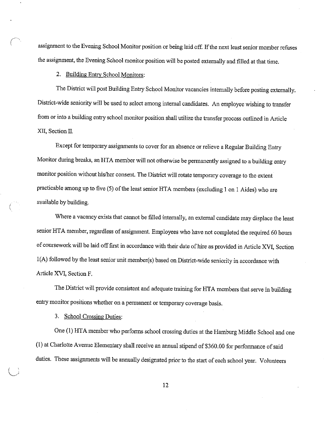assignment to the Evening School Monitor position or being laid off. If the next least senior member refuses the assignment, the Evening School monitor position will be posted externally and filled at that time.

2. Building Entry School Monitors:

The District will post Building Entry School Monitor vacancies internally before posting externally. District-wide seniority will be used to select among internal candidates. An employee wishing to transfer from or into a building entry school monitor position shall utilize the transfer process outlined in Article XII, Section II.

Except for temporary assignments to cover for an absence or relieve a Regnlar Building Entry Monitor during breaks, an HTA member will not otherwise be pennanently assigned to a building entry monitor position without his/her consent. The District will rotate temporary coverage to the extent practicable among up to five (5) of the least senior HTA members (excluding I on I Aides) who are available by building.

Where a vacancy exists that cannot be filled internally, an external candidate may displace the least senior HTA member, regardless of assignment. Employees who have not completed the required 60 hours of coursework will be laid off first in accordance with their date of hire as provided in Article XVI, Section  $1(A)$  followed by the least senior unit member(s) based on District-wide seniority in accordance with Article XVI, Section F.

The District will provide consistent and adequate training for HTA members that serve in building entry monitor positions whether on a permanent or temporary coverage basis.

3. School Crossing Duties:

(

One (1) HTA member who performs school crossing duties at the Hamburg Middle School and one (!) at Charlotte Avenue Elementary shall receive an annual stipend of \$360.00 for perfonnance of said duties. These assigmnents will be annually designated prior to the start of each school year. Volunteers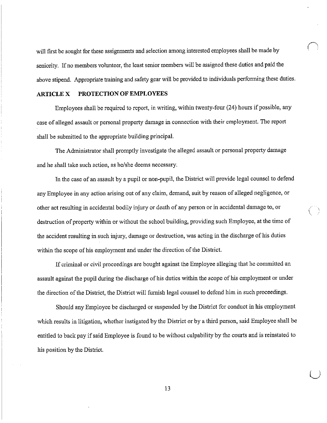will first be sought for these assignments and selection among interested employees shall be made by seniority. If no members volunteer, the least senior members will be assigned these duties and paid the above stipend. Appropriate training and safety gear will be provided to individuals performing these duties.

### **ARTICLE X PROTECTION OF EMPLOYEES**

Employees shall be required to report, in writing, within twenty-four (24) hours if possible, any case of alleged assault or personal property damage in connection with their employment. The report shall be submitted to the appropriate building principal.

The Administrator shall promptly investigate the alleged assault or personal propetty damage and he shall take such action, as he/she deems necessary.

In the case of an assault by a pupil or non-pupil, the District will provide legal counsel to defend any Employee in any action arising out of any claim, demand, suit by reason of alleged negligence, or other act resulting in accidental bodily injury or death of any person or in accidental damage to, or destruction of property within or without the school building, providing such Employee, at the time of the accident resulting in such injury, damage or destruction, was acting in the discharge of his duties within the scope of his employment and tmder the direction of the District.

 $\bigg($ 

 $\cup$ 

If criminal or civil proceedings are bought against the Employee alleging that he committed an assault against the pupil during the discharge of his duties within the scope of his employment or under the direction of the District, the District will furnish legal counsel to defend him in such proceedings.

Should any Employee be discharged or suspended by the Disttict for conduct in his employment which results in litigation, whether instigated by the District or by a third person, said Employee shall be entitled to back pay if said Employee is found to be without culpability by the courts and is reinstated to his position by the District.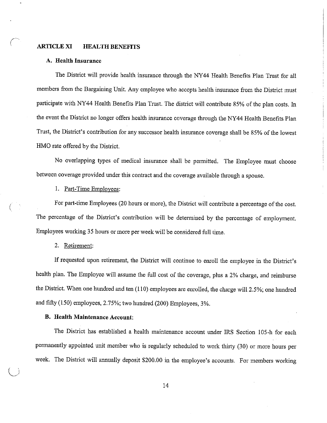## **ARTICLE XI HEALTH BENEFITS**

#### **A. Health Insurance**

The District will provide health insurance through the NY44 Health Benefits Plan Trust for all members from the Bargaining Unit. Any employee who accepts health insurance from the District must participate with NY44 Health Benefits Plan Trust. The district will contribute 85% of the plan costs. In the event the Disttict no longer offers health insurance coverage through the NY 44 Health Benefits Plan Trust, the District's contribution for any successor health insurance coverage shall be 85% of the lowest HMO rate offered by the District.

No overlapping types of medical insurance shall be pennitted. The Employee must choose between coverage provided under this contract and the coverage available through a spouse.

### I. Part-Time Employees:

For part-time Employees (20 hours or more), the District will contribute a percentage of the cost. The percentage of the District's contribution will be determined by the percentage of employment. Employees working 35 hours or more per week will be considered full time.

#### 2. Retirement:

 $\bigcup$ 

If requested upon retirement, the District will continue to enroll the employee in the District's health plan. The Employee will assume the full cost of the coverage, plus a 2% charge, and reimburse the District. When one hundred and ten (110) employees are enrolled, the charge will 2.5%; one hundred and fifty (150) employees, 2.75%; two hundred (200) Employees, 3%.

# **B. Health Maintenance Account:**

The District has established a health maintenance account under IRS Section 105-h for each permanently appointed unit member who is regularly scheduled to work thirty (30) or more hours per week. The District will annually deposit \$200.00 in the employee's accounts. For members working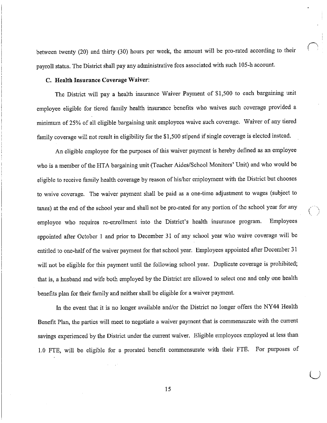between twenty (20) and thirty (30) hours per week, the amount will be pro-rated according to their payroll status. The District shall pay any administrative fees associated with such 105-h account.

 $\bigcap$ 

 $(\ )$ 

 $\cup$ 

# **C. Health Insurance Coverage Waiver:**

The District will pay a health insurance Waiver Payment of \$1,500 to each bargaining unit employee eligible for tiered family health insurance benefits who waives such coverage provided a minimum of 25% of all eligible bargaining unit employees waive such coverage. Waiver of any tiered family coverage will not result in eligibility for the \$1,500 stipend if single coverage is elected instead.

An eligible employee for the purposes of this waiver payment is hereby defined as an employee who is a member of the HT A bargaining unit (Teacher Aides/School Monitors' Unit) and who would be eligible to receive family health coverage by reason of his/her employment with the District but chooses to waive coverage. The waiver payment shall be paid as a one-time adjustment to wages (subject to taxes) at the end of the school year and shall not be pro-rated for any portion of the school year for any employee who requires re-enrollment into the District's health insurance program. Employees appointed after October 1 and prior to December 31 of any school year who waive coverage will be entitled to one-half of the waiver payment for that school year. Employees appointed after December 31 will not be eligible for this payment until the following school year. Duplicate coverage is prohibited; that is, a husband and wife both employed by the District are allowed to select one and only one health benefits plan for their family and neither shall be eligible for a waiver payment.

In the event that it is no longer available and/or the District no longer offers the NY44 Health Benefit Plan, the parties will meet to negotiate a waiver payment that is commensurate with the current savings experienced by the District under the current waiver. Eligible employees employed at less than 1.0 FTE, will be eligible for a prorated benefit commensurate with their FTE. For purposes of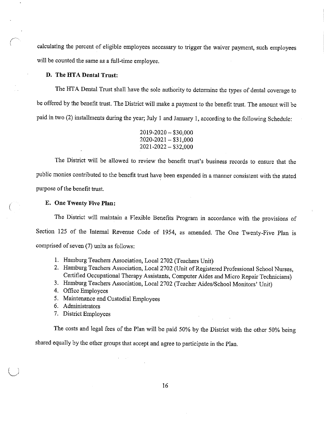calculating the percent of eligible employees necessary to trigger the waiver payment, such employees will be counted the same as a full-time employee.

### **D. The HT A Dental Trust:**

The HTA Dental Trust shall have the sole authority to determine the types of dental coverage to be offered by the benefit trust. The District will make a payment to the benefit trust. The amount will be paid in two (2) installments during the year; July 1 and January 1, according to the following Schedule:

| $2019 - 2020 - $30,000$ |
|-------------------------|
| $2020 - 2021 - $31,000$ |
| $2021 - 2022 - $32,000$ |

The District will be allowed to review the benefit trust's business records to ensure that the public monies contributed to the benefit trust have been expended in a manner consistent with the stated purpose of the benefit trust.

#### **E. One Twenty Five Plan:**

The District will maintain a Flexible Benefits Program in accordance with the provisions of Section 125 of the Internal Revenue Code of 1954, as amended. The One Twenty-Five Plan is comprised of seven (7) units as follows:

- 1. Hamburg Teachers Association, Local 2702 (Teachers Unit)
- 2. Hamburg Teachers Association, Local 2702 (Unit of Registered Professional School Nurses, Certified Occupational Therapy Assistants, Computer Aides and Micro Repair Technicians)
- 3. Hamburg Teachers Association, Local 2702 (Teacher Aides/School Monitors' Unit)
- 4. Office Employees
- 5. Maintenance and Custodial Employees
- 6. Administrators
- 7. District Employees

The costs and legal fees of the Plan will be paid 50% by the District with the other 50% being shared equally by the other groups that accept and agree to participate in the Plan.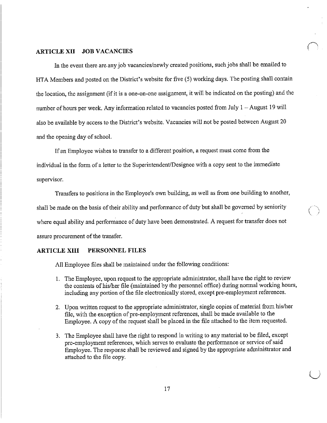## **ARTICLE XII JOB VACANCIES**

In the event there are.any job vacancies/newly created positions, such jobs shall be emailed to HTA Members and posted on the District's website for five (5) working days. The posting shall contain the location, the assignment (if it is a one-on-one assignment, it will be indicated on the posting) and the number of hours per week. Any information related to vacancies posted from July 1 – August 19 will also be available by access to the District's website. Vacancies will not be posted between August 20 and the opening day of school.

If an Employee wishes to transfer to a different position, a request must come from the individual in the form of a letter to the Superintendent/Designee with a copy sent to the immediate supervisor.

Transfers to positions in the Employee's own building, as well as from one building to another, shall be made on the basis of their ability and performance of duty but shall be governed by seniority where equal ability and performance of duty have been demonstrated. A request for transfer does not assure procurement of the transfer.

 $\big($ 

 $\bigcup$ 

# **ARTICLE XIII PERSONNEL FILES**

All Employee files shall be maintained under the following conditions:

- 1. The Employee, upon request to the appropriate administrator, shall have the right to review the contents of his/her file (maintained by the personnel office) during normal working hours, including any portion of the file electronically stored, except pre-employment references.
- 2. Upon written request to the appropriate administrator, single copies of material from his/her file, with the exception of pre-employment references, shall be made available to the Employee. A copy of the request shall be placed in the file attached to the item requested.
- 3. The Employee shall have the right to respond in writing to any material to be filed, except pre-employment references, which serves to evaluate the perfonnance or service of said Employee. The response shall be reviewed and signed by the appropriate administrator and attached to the file copy.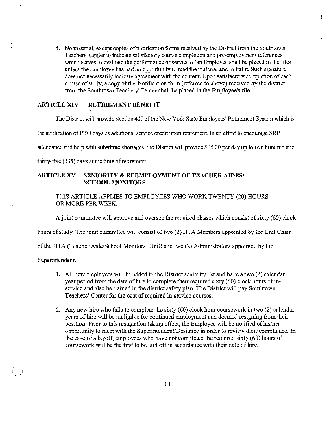4. No material, except copies of notification forms received by the District from the South town Teachers' Center to indicate satisfactory course completion and pre-employment references which serves to evaluate the performance or service of an Employee shall be placed in the files unless the Employee has had an opportunity to read the material and initial it. Such signature does not necessarily indicate agreement with the content. Upon satisfactory completion of each course of study, a copy of the Notification form (referred to above) received by the district from the Southtown Teachers' Center shall be placed in the Employee's file.

# **ARTICLE XIV RETIREMENT BENEFIT**

The District will provide Section 41J of the New York State Employees' Retirement System which is

the application of PTO days as additional service credit upon retirement. In an effort to encourage SRP

attendance and help with substitute shortages, the District will provide \$65.00 per day up to two hundred and

thirty-five (235) days at the time of retirement.

# **ARTICLE XV SENIORITY & REEMPLOYMENT OF TEACHER AIDES/ SCHOOL MONITORS**

THIS ARTICLE APPLIES TO EMPLOYEES WHO WORK TWENTY (20) HOURS OR MORE PER WEEK.

A joint committee will approve and oversee the required classes which consist of sixty (60) clock

hours of study. The joint committee will consist of two (2) HTA Members appointed by the Unit Chair

of the HTA (Teacher Aide/School Monitors' Unit) and two (2) Administrators appointed by the

Superintendent.

- 1. All new employees will be added to the District seniority list and have a two (2) calendar year period from the date of hire to complete their required sixty (60) clock hours of inservice and also be trained in the district safety plan. The District will pay Southtown Teachers' Center for the cost of required in-service courses.
- 2. Any new hire who fails to complete the sixty (60) clock hour coursework in two (2) calendar years of hire will be ineligible for continued employment and deemed resigning from their position. Prior to this resignation taking effect, the Employee will be notified of his/her opportunity to meet with the Superintendent/Designee in order to review their compliance. In the case of a layoff, employees who have not completed the required sixty (60) hours of coursework will be the first to be laid off in accordance with their date of hire.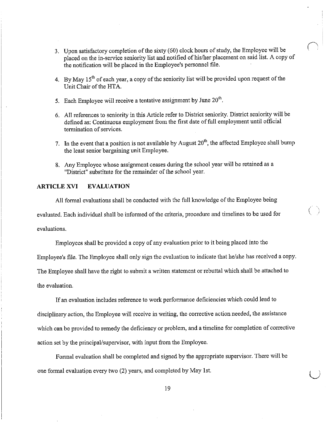3. Upon satisfactory completion of the sixty (60) clock hours of study, the Employee will be placed on the in-service seniority list and notified of his/her placement on said list. A copy of the notification will be placed in the Employee's personnel file.

 $\bigcap$ 

 $($   $)$ 

 $\bigcup$ 

- 4. By May  $15<sup>th</sup>$  of each year, a copy of the seniority list will be provided upon request of the Unit Chair of the HTA.
- 5. Each Employee will receive a tentative assignment by June  $20<sup>th</sup>$ .
- 6. All references to seniority in this Article refer to District seniority. District seniority will be defined as: Continuous employment from the first date of full employment until official tennination of services.
- 7. In the event that a position is not available by August  $20<sup>th</sup>$ , the affected Employee shall bump the least senior bargaining unit Employee.
- 8. Any Employee whose assignment ceases during the school year will be retained as a "District" substitute for the remainder of the school year.

# **ARTICLEXVI EVALUATION**

All formal evaluations shall be conducted with the full knowledge of the Employee being evaluated. Each individual shall be infonned of the criteria, procedure and timelines to be used for evaluations.

Employees shall be provided a copy of any evaluation prior to it being placed into the

Employee's file. The Employee shall only sign the evaluation to indicate that he/she has received a copy.

The Employee shall have the right to submit a written statement or rebuttal which shall be attached to the evaluation.

If an evaluation includes reference to work performance deficiencies which could lead to disciplinary action, the Employee will receive in writing, the corrective action needed, the assistance which can be provided to remedy the deficiency or problem, and a timeline for completion of corrective action set by the principal/supervisor, with input from the Employee.

Formal evaluation shall be completed and signed by the appropriate supervisor. There will be one formal evaluation every two (2) years, and completed by May 1st.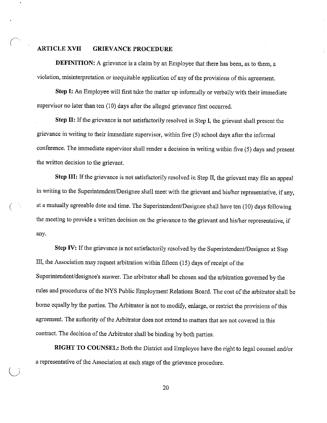# **ARTICLE XVII GRIEVANCE PROCEDURE**

**DEFINITION:** A grievance is a claim by an Employee that there has been, as to them, a violation, misinterpretation or inequitable application of any of the provisions of this agreement.

**Step I:** An Employee will first take the matter up infonnally or verbally with their immediate supervisor no later than ten (10) days after the alleged grievance first occurred.

**Step II:** If the grievance is not satisfactorily resolved in Step **I,** the grievant shall present the grievance in writing to their immediate supervisor, within five (5) school days after the informal conference. The immediate supervisor shall render a decision **in** writing within five (5) days and present the written decision to the grievant.

**Step III:** If the grievance is not satisfactorily resolved in Step II, the grievant may file an appeal in writing to the Superintendent/Designee shall meet with the grievant and his/her representative, if any, at a mutually agreeable date and time. The Superintendent/Designee shall have ten (10) days following the meeting to provide a written decision on the grievance to the grievant and his/her representative, if any.

**Step IV:** If the grievance is not satisfactorily resolved by the Superintendent/Designee at Step III, the Association may request arbitration within fifteen (15) days ofreceipt of the Superintendent/designee's answer. The arbitrator shall be chosen and the arbitration governed by the rules and procedures of the NYS Public Employment Relations Board. The cost of the arbitrator shall be borne equally by the parties. The Arbitrator is not to modify, enlarge, or restrict the provisions of this agreement. The authority of the Arbitrator does not extend to matters that are not covered in this contract. The decision of the Arbitrator shall be binding by both parties.

**RIGHT TO COUNSEL:** Both the District and Employee have the right to legal counsel and/or a representative of the Association at each stage of the grievance procedure.

*l)*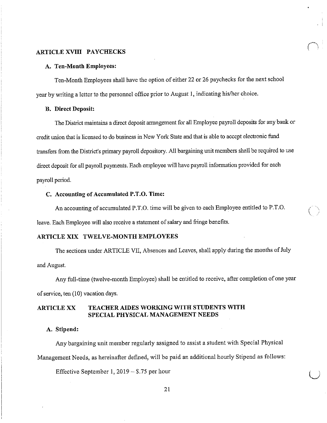## **ARTICLE XVIII PAYCHECKS**

#### **A. Ten-Month Employees:**

Ten-Month Employees shall have the option of either 22 or 26 paychecks for the next school year by writing a letter to the personnel office prior to August I, indicating his/her choice.

 $\bigcap$ 

 $\cup$ 

# **B. Direct Deposit:**

The District maintains a direct deposit arrangement for all Employee payroll deposits for any bank or credit nnion that is licensed to do business in New York State and that is able to accept electronic fund transfers from the District's primary payroll depository. All bargaining unit members shall be required to use direct deposit for all payroll payments. Each employee will have payroll information provided for each payroll period.

# **C. Accounting of Accumulated P.T.O. Time:**

An accounting of accumulated P.T.O. time will be given to each Employee entitled to P.T.O. leave. Each Employee will also receive a statement of salary and fringe benefits.

# **ARTICLE XIX TWELVE-MONTH EMPLOYEES**

The sections under ARTICLE VII, Absences and Leaves, shall apply during the months of July and August.

Any full-time (twelve-month Employee) shall be entitled to receive, after completion of one year of service, ten (10) vacation days.

#### **ARTICLE XX TEACHER AIDES WORKING WITH STUDENTS WITH SPECIAL PHYSICAL MANAGEMENT NEEDS**

# **A. Stipend:**

Any bargaining unit member regularly assigned to assist a student with Special Physical Management Needs, as hereinafter defined, will be paid an additional hourly Stipend as follows:

Effective September 1,  $2019 - $.75$  per hour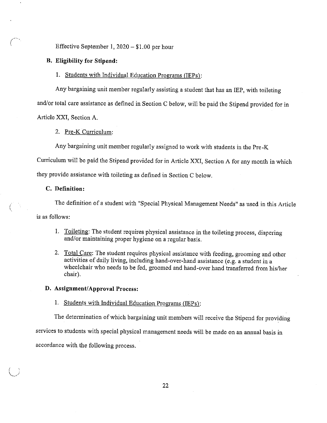Effective September 1, 2020- \$1.00 per hour

# **B. Eligibility for Stipend:**

# 1. Students with Individual Education Programs (IEPs):

Any bargaining unit member regularly assisting a student that has an IEP, with toileting and/or total care assistance as defined in Section C below, will be paid the Stipend provided for in Article XXI, Section A.

2. Pre-K Curriculum:

Any bargaining unit member regularly assigned to work with students in the Pre-K

Curriculum will be paid the Stipend provided for in Article XXI, Section A for any month in which

they provide assistance with toileting as defined in Section C below.

# **C. Definition:**

 $\bigcup$ 

The definition of a student with "Special Physical Management Needs" as used in this Article is as follows:

- 1. Toileting: The student requires physical assistance in the toileting process, diapering and/or maintaining proper hygiene on a regular basis.
- 2. Total Care: The student requires physical assistance with feeding, grooming and other activities of daily living, including hand-over-hand assistance (e.g. a student in a wheelchair who needs to be fed, groomed and hand-over hand transferred from his/her chair).

## **D. Assignment/Approval Process:**

# 1. Students with Individual Education Programs (IEPs):

The determination of which bargaining unit members will receive the Stipend for providing services to students with special physical management needs will be made on an annual basis in accordance with the following process.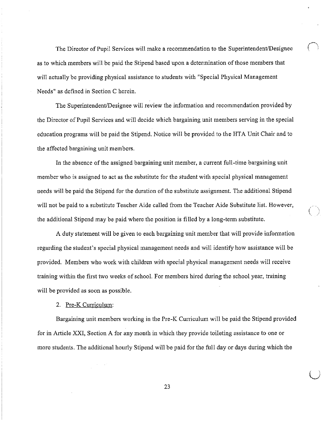The Director of Pupil Services will make a recommendation to the Superintendent/Designee as to which members will be paid the Stipend based upon a determination of those members that will actually be providing physical assistance to students with "Special Physical Management Needs" as defined in Section C herein.

The Superintendent/Designee will review the information and recommendation provided by the Director of Pupil Services and will decide which bargaining unit members serving in the special education programs will be paid the Stipend. Notice will be provided to the HTA Unit Chair and to the affected bargaining unit members.

In the absence of the assigned bargaining unit member, a current full-time bargaining unit member who is assigned to act as the substitute for the student with special physical management needs will be paid the Stipend for the duration of the substitute assignment. The additional Stipend will not be paid to a substitute Teacher Aide called from the Teacher Aide Substitute list. However, the additional Stipend may be paid where the position is filled by a long-term substitute.

A duty statement will be given to each bargaining unit member that will provide infonnation regarding the student's special physical management needs and will identify how assistance will be provided. Members who work with children with special physical management needs will receive training within the first two weeks of school. For members hired during the school year, training will be provided as soon as possible.

## 2. Pre-K Curriculum:

Bargaining unit members working in the Pre-K Curriculum will be paid the Stipend provided for in Article XXI, Section A for any month in which they provide toileting assistance to one or more students. The additional hourly Stipend will be paid for the full day or days during which the

23

 $\bigcup$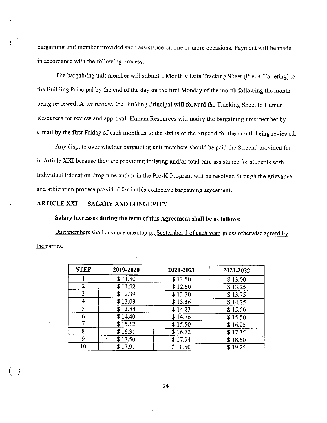bargaining unit member provided such assistance on one or more occasions. Payment will be made in accordance with the following process.

The bargaining unit member will submit a Monthly Data Tracking Sheet (Pre-K Toileting) to the Building Principal by the end of the day on the first Monday of the month following the month being reviewed. After review, the Building Principal will forward the Tracking Sheet to Human Resources for review and approval. Human Resources will notify the bargaining unit member by e-mail by the first Friday of each month as to the status of the Stipend for the month being reviewed.

Any dispute over whether bargaining unit members should be paid the Stipend provided for in Article XXI because they are providing toileting and/or total care assistance for students with Individual Education Programs and/or in the Pre-K Program will be resolved through the grievance and arbitration process provided for in this collective bargaining agreement.

# **ARTICLE XXI SALARY AND LONGEVITY**

**Salary increases during the term of this Agreement shall be as follows:** 

Unit members shall advance one step on September 1 of each year unless otherwise agreed by the parties.

| <b>STEP</b>    | 2019-2020 | 2020-2021 | 2021-2022 |
|----------------|-----------|-----------|-----------|
|                | \$11.80   | \$12.50   | \$13.00   |
| $\overline{2}$ | \$11.92   | \$12.60   | \$13.25   |
| 3              | \$12.39   | \$12.70   | \$13.75   |
| 4              | \$13.03   | \$13.36   | \$14.25   |
| 5              | \$13.88   | \$14.23   | \$15.00   |
| 6              | \$14.40   | \$14.76   | \$15.50   |
|                | \$15.12   | \$15.50   | \$16.25   |
| 8              | \$16.31   | \$16.72   | \$17.35   |
| 9              | \$17.50   | \$17.94   | \$18.50   |
| 10             | \$17.91   | \$18.50   | \$19.25   |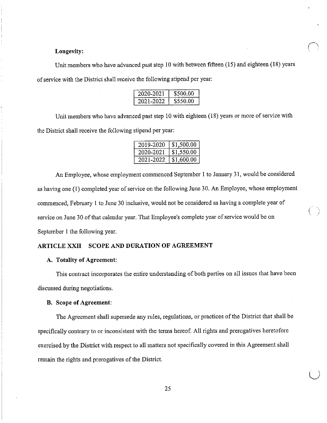# **Longevity:**

Unit members who have advanced past step 10 with between fifteen (15) and eighteen (18) years of service with the District shall receive the following stipend per year:

| 2020-2021 | \$500.00 |
|-----------|----------|
| 2021-2022 | \$550.00 |

Unit members who have advanced past step 10 with eighteen (18) years or more of service with the District shall receive the following stipend per year:

| 2019-2020 | \$1,500.00 |
|-----------|------------|
| 2020-2021 | \$1,550.00 |
| 2021-2022 | \$1,600.00 |

An Employee, whose employment commenced September 1 to January 31, would be considered as having one (1) completed year of service on the following June 30. An Employee, whose employment commenced, February I to June 30 inclusive, would not be considered as having a complete year of service on June 30 of that calendar year. That Employee's complete year of service would be on September 1 the following year.

# **ARTICLE XXII SCOPE AND DURATION OF AGREEMENT**

## **A. Totality of Agreement:**

This contract incorporates the entire understanding of both parties on all issues that have been discussed during negotiations.

#### **B. Scope of Agreement:**

The Agreement shall supersede any rules, regulations, or practices of the District that shall be specifically contrary to or inconsistent with the terms hereof. All rights and prerogatives heretofore exercised by the District with respect to all matters not specifically covered in this Agreement shall remain the rights and prerogatives of the District.

 $\bigcup$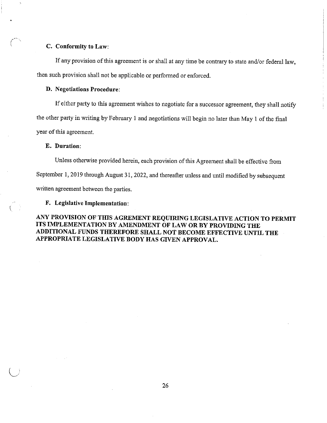## **C. Conformity to Law:**

If any provision of this agreement is or shall at any time be contrary to state and/or federal law, then such provision shall not be applicable or performed or enforced.

# **D. Negotiations Procedure:**

If either party to this agreement wishes to negotiate for a successor agreement, they shall notify

the other party in writing by February 1 and negotiations will begin no later than May 1 of the final

year of this agreement.

#### **E. Duration:**

Unless otherwise provided herein, each provision of this Agreement shall be effective from

September 1, 2019 through August 31, 2022, and thereafter unless and until modified by subsequent

written agreement between the parties.

**F. Legislative Implementation:** 

**ANY PROVISION OF TIDS AGREMENT REQUIRING LEGISLATIVE ACTION TO PERMIT ITS IMPLEMENTATION BY AMENDMENT OF LAW OR BY PROVIDING THE ADDITIONAL FUNDS THEREFORE SHALL NOT BECOME EFFECTIVE UNTIL THE APPROPRIATE LEGISLATIVE BODY HAS GIVEN APPROVAL.**